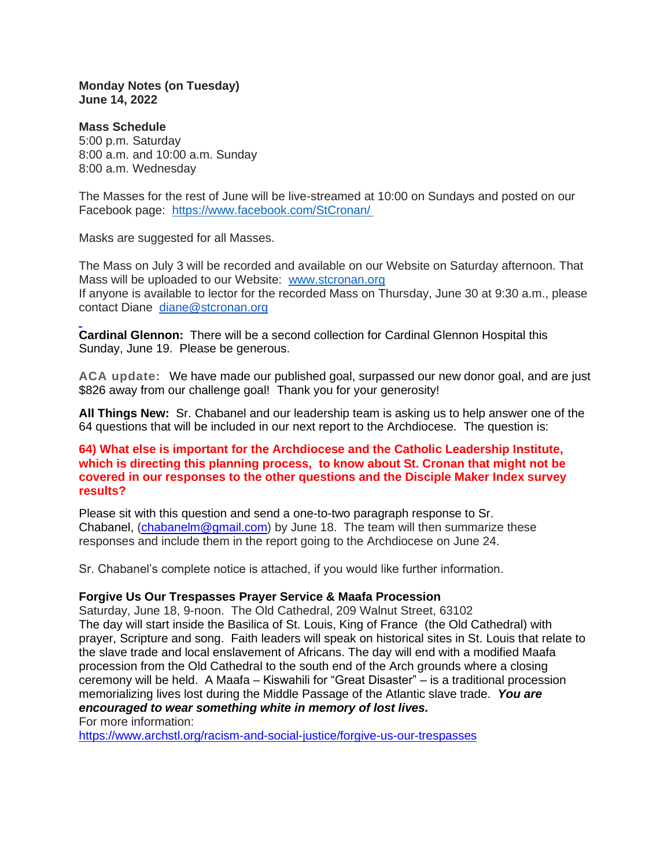**Monday Notes (on Tuesday) June 14, 2022**

**Mass Schedule** 5:00 p.m. Saturday 8:00 a.m. and 10:00 a.m. Sunday 8:00 a.m. Wednesday

The Masses for the rest of June will be live-streamed at 10:00 on Sundays and posted on our Facebook page: <https://www.facebook.com/StCronan/>

Masks are suggested for all Masses.

The Mass on July 3 will be recorded and available on our Website on Saturday afternoon. That Mass will be uploaded to our Website: [www.stcronan.org](http://www.stcronan.org/) If anyone is available to lector for the recorded Mass on Thursday, June 30 at 9:30 a.m., please contact Diane [diane@stcronan.org](mailto:diane@stcronan.org)

**Cardinal Glennon:** There will be a second collection for Cardinal Glennon Hospital this Sunday, June 19. Please be generous.

**ACA update:** We have made our published goal, surpassed our new donor goal, and are just \$826 away from our challenge goal! Thank you for your generosity!

**All Things New:** Sr. Chabanel and our leadership team is asking us to help answer one of the 64 questions that will be included in our next report to the Archdiocese. The question is:

## **64) What else is important for the Archdiocese and the Catholic Leadership Institute, which is directing this planning process, to know about St. Cronan that might not be covered in our responses to the other questions and the Disciple Maker Index survey results?**

Please sit with this question and send a one-to-two paragraph response to Sr. Chabanel, [\(chabanelm@gmail.com\)](mailto:chabanelm@gmail.com) by June 18. The team will then summarize these responses and include them in the report going to the Archdiocese on June 24.

Sr. Chabanel's complete notice is attached, if you would like further information.

## **Forgive Us Our Trespasses Prayer Service & Maafa Procession**

Saturday, June 18, 9-noon. The Old Cathedral, 209 Walnut Street, 63102 The day will start inside the Basilica of St. Louis, King of France (the Old Cathedral) with prayer, Scripture and song. Faith leaders will speak on historical sites in St. Louis that relate to the slave trade and local enslavement of Africans. The day will end with a modified Maafa procession from the Old Cathedral to the south end of the Arch grounds where a closing ceremony will be held. A Maafa – Kiswahili for "Great Disaster" – is a traditional procession memorializing lives lost during the Middle Passage of the Atlantic slave trade. *You are encouraged to wear something white in memory of lost lives.*

For more information:

<https://www.archstl.org/racism-and-social-justice/forgive-us-our-trespasses>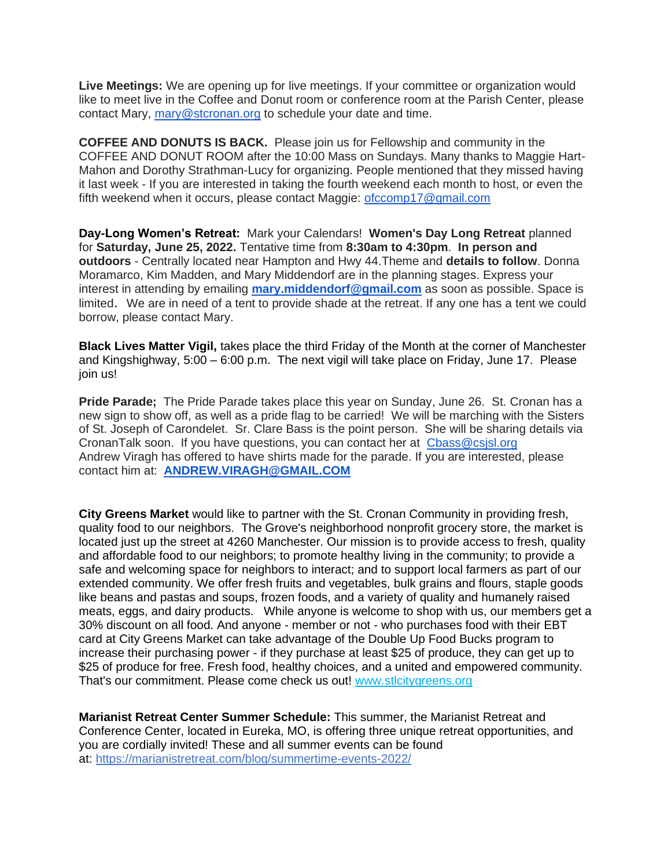**Live Meetings:** We are opening up for live meetings. If your committee or organization would like to meet live in the Coffee and Donut room or conference room at the Parish Center, please contact Mary, [mary@stcronan.org](mailto:mary@stcronan.org) to schedule your date and time.

**COFFEE AND DONUTS IS BACK.** Please join us for Fellowship and community in the COFFEE AND DONUT ROOM after the 10:00 Mass on Sundays. Many thanks to Maggie Hart-Mahon and Dorothy Strathman-Lucy for organizing. People mentioned that they missed having it last week - If you are interested in taking the fourth weekend each month to host, or even the fifth weekend when it occurs, please contact Maggie: [ofccomp17@gmail.com](mailto:ofccomp17@gmail.com)

**Day-Long Women's Retreat:** Mark your Calendars! **Women's Day Long Retreat** planned for **Saturday, June 25, 2022.** Tentative time from **8:30am to 4:30pm**. **In person and outdoors** - Centrally located near Hampton and Hwy 44.Theme and **details to follow**. Donna Moramarco, Kim Madden, and Mary Middendorf are in the planning stages. Express your interest in attending by emailing **[mary.middendorf@gmail.com](mailto:mary.middendorf@gmail.com)** as soon as possible. Space is limited. We are in need of a tent to provide shade at the retreat. If any one has a tent we could borrow, please contact Mary.

**Black Lives Matter Vigil,** takes place the third Friday of the Month at the corner of Manchester and Kingshighway, 5:00 – 6:00 p.m. The next vigil will take place on Friday, June 17. Please join us!

**Pride Parade;** The Pride Parade takes place this year on Sunday, June 26. St. Cronan has a new sign to show off, as well as a pride flag to be carried! We will be marching with the Sisters of St. Joseph of Carondelet. Sr. Clare Bass is the point person. She will be sharing details via CronanTalk soon. If you have questions, you can contact her at [Cbass@csjsl.org](mailto:Cbass@csjsl.org) Andrew Viragh has offered to have shirts made for the parade. If you are interested, please contact him at: **[ANDREW.VIRAGH@GMAIL.COM](mailto:ANDREW.VIRAGH@GMAIL.COM)**

**City Greens Market** would like to partner with the St. Cronan Community in providing fresh, quality food to our neighbors. The Grove's neighborhood nonprofit grocery store, the market is located just up the street at 4260 Manchester. Our mission is to provide access to fresh, quality and affordable food to our neighbors; to promote healthy living in the community; to provide a safe and welcoming space for neighbors to interact; and to support local farmers as part of our extended community. We offer fresh fruits and vegetables, bulk grains and flours, staple goods like beans and pastas and soups, frozen foods, and a variety of quality and humanely raised meats, eggs, and dairy products. While anyone is welcome to shop with us, our members get a 30% discount on all food. And anyone - member or not - who purchases food with their EBT card at City Greens Market can take advantage of the Double Up Food Bucks program to increase their purchasing power - if they purchase at least \$25 of produce, they can get up to \$25 of produce for free. Fresh food, healthy choices, and a united and empowered community. That's our commitment. Please come check us out! [www.stlcitygreens.org](http://www.stlcitygreens.org/)

**Marianist Retreat Center Summer Schedule:** This summer, the Marianist Retreat and Conference Center, located in Eureka, MO, is offering three unique retreat opportunities, and you are cordially invited! These and all summer events can be found at: <https://marianistretreat.com/blog/summertime-events-2022/>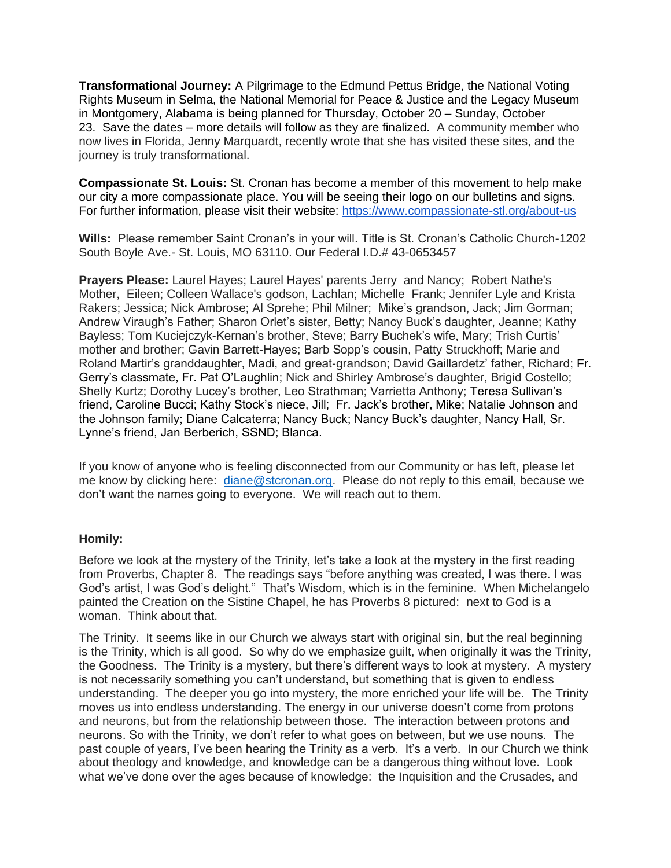**Transformational Journey:** A Pilgrimage to the Edmund Pettus Bridge, the National Voting Rights Museum in Selma, the National Memorial for Peace & Justice and the Legacy Museum in Montgomery, Alabama is being planned for Thursday, October 20 – Sunday, October 23. Save the dates – more details will follow as they are finalized. A community member who now lives in Florida, Jenny Marquardt, recently wrote that she has visited these sites, and the journey is truly transformational.

**Compassionate St. Louis:** St. Cronan has become a member of this movement to help make our city a more compassionate place. You will be seeing their logo on our bulletins and signs. For further information, please visit their website: <https://www.compassionate-stl.org/about-us>

**Wills:** Please remember Saint Cronan's in your will. Title is St. Cronan's Catholic Church-1202 South Boyle Ave.- St. Louis, MO 63110. Our Federal I.D.# 43-0653457

**Prayers Please:** Laurel Hayes; Laurel Hayes' parents Jerry and Nancy; Robert Nathe's Mother, Eileen; Colleen Wallace's godson, Lachlan; Michelle Frank; Jennifer Lyle and Krista Rakers; Jessica; Nick Ambrose; Al Sprehe; Phil Milner; Mike's grandson, Jack; Jim Gorman; Andrew Viraugh's Father; Sharon Orlet's sister, Betty; Nancy Buck's daughter, Jeanne; Kathy Bayless; Tom Kuciejczyk-Kernan's brother, Steve; Barry Buchek's wife, Mary; Trish Curtis' mother and brother; Gavin Barrett-Hayes; Barb Sopp's cousin, Patty Struckhoff; Marie and Roland Martir's granddaughter, Madi, and great-grandson; David Gaillardetz' father, Richard; Fr. Gerry's classmate, Fr. Pat O'Laughlin; Nick and Shirley Ambrose's daughter, Brigid Costello; Shelly Kurtz; Dorothy Lucey's brother, Leo Strathman; Varrietta Anthony; Teresa Sullivan's friend, Caroline Bucci; Kathy Stock's niece, Jill; Fr. Jack's brother, Mike; Natalie Johnson and the Johnson family; Diane Calcaterra; Nancy Buck; Nancy Buck's daughter, Nancy Hall, Sr. Lynne's friend, Jan Berberich, SSND; Blanca.

If you know of anyone who is feeling disconnected from our Community or has left, please let me know by clicking here: [diane@stcronan.org.](mailto:diane@stcronan.org) Please do not reply to this email, because we don't want the names going to everyone. We will reach out to them.

## **Homily:**

Before we look at the mystery of the Trinity, let's take a look at the mystery in the first reading from Proverbs, Chapter 8. The readings says "before anything was created, I was there. I was God's artist, I was God's delight." That's Wisdom, which is in the feminine. When Michelangelo painted the Creation on the Sistine Chapel, he has Proverbs 8 pictured: next to God is a woman. Think about that.

The Trinity. It seems like in our Church we always start with original sin, but the real beginning is the Trinity, which is all good. So why do we emphasize guilt, when originally it was the Trinity, the Goodness. The Trinity is a mystery, but there's different ways to look at mystery. A mystery is not necessarily something you can't understand, but something that is given to endless understanding. The deeper you go into mystery, the more enriched your life will be. The Trinity moves us into endless understanding. The energy in our universe doesn't come from protons and neurons, but from the relationship between those. The interaction between protons and neurons. So with the Trinity, we don't refer to what goes on between, but we use nouns. The past couple of years, I've been hearing the Trinity as a verb. It's a verb. In our Church we think about theology and knowledge, and knowledge can be a dangerous thing without love. Look what we've done over the ages because of knowledge: the Inquisition and the Crusades, and